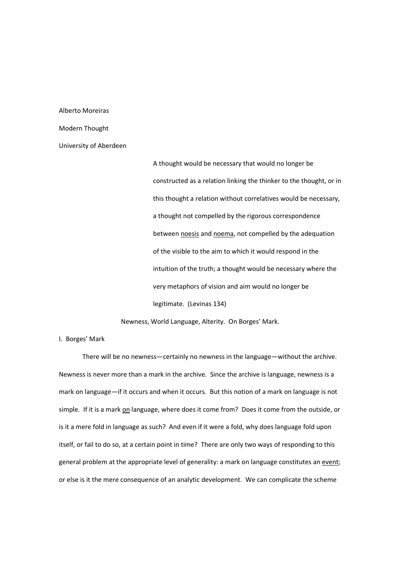Alberto Moreiras

Modern Thought

University of Aberdeen

A thought would be necessary that would no longer be constructed as a relation linking the thinker to the thought, or in this thought a relation without correlatives would be necessary, a thought not compelled by the rigorous correspondence between noesis and noema, not compelled by the adequation of the visible to the aim to which it would respond in the intuition of the truth; a thought would be necessary where the very metaphors of vision and aim would no longer be legitimate. (Levinas 134)

Newness, World Language, Alterity. On Borges' Mark.

I. Borges' Mark

There will be no newness—certainly no newness in the language—without the archive. Newness is never more than a mark in the archive. Since the archive is language, newness is a mark on language—if it occurs and when it occurs. But this notion of a mark on language is not simple. If it is a mark on language, where does it come from? Does it come from the outside, or is it a mere fold in language as such? And even if it were a fold, why does language fold upon itself, or fail to do so, at a certain point in time? There are only two ways of responding to this general problem at the appropriate level of generality: a mark on language constitutes an event; or else is it the mere consequence of an analytic development. We can complicate the scheme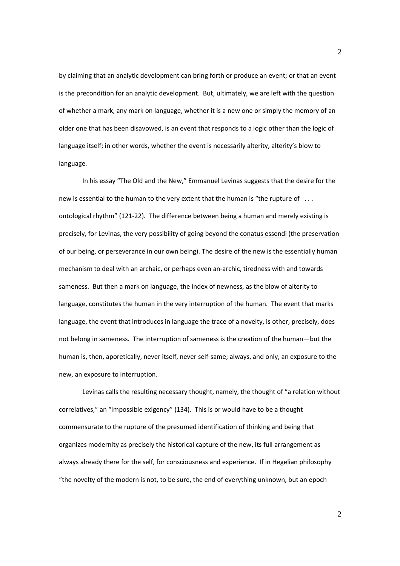by claiming that an analytic development can bring forth or produce an event; or that an event is the precondition for an analytic development. But, ultimately, we are left with the question of whether a mark, any mark on language, whether it is a new one or simply the memory of an older one that has been disavowed, is an event that responds to a logic other than the logic of language itself; in other words, whether the event is necessarily alterity, alterity's blow to language.

In his essay "The Old and the New," Emmanuel Levinas suggests that the desire for the new is essential to the human to the very extent that the human is "the rupture of ... ontological rhythm" (121-22). The difference between being a human and merely existing is precisely, for Levinas, the very possibility of going beyond the conatus essendi (the preservation of our being, or perseverance in our own being). The desire of the new is the essentially human mechanism to deal with an archaic, or perhaps even an-archic, tiredness with and towards sameness. But then a mark on language, the index of newness, as the blow of alterity to language, constitutes the human in the very interruption of the human. The event that marks language, the event that introduces in language the trace of a novelty, is other, precisely, does not belong in sameness. The interruption of sameness is the creation of the human—but the human is, then, aporetically, never itself, never self-same; always, and only, an exposure to the new, an exposure to interruption.

Levinas calls the resulting necessary thought, namely, the thought of "a relation without correlatives," an "impossible exigency" (134). This is or would have to be a thought commensurate to the rupture of the presumed identification of thinking and being that organizes modernity as precisely the historical capture of the new, its full arrangement as always already there for the self, for consciousness and experience. If in Hegelian philosophy "the novelty of the modern is not, to be sure, the end of everything unknown, but an epoch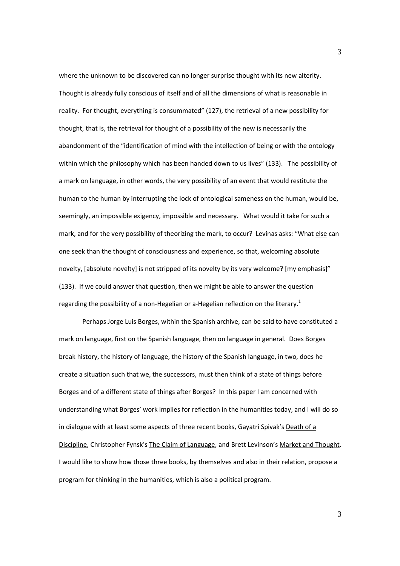where the unknown to be discovered can no longer surprise thought with its new alterity. Thought is already fully conscious of itself and of all the dimensions of what is reasonable in reality. For thought, everything is consummated" (127), the retrieval of a new possibility for thought, that is, the retrieval for thought of a possibility of the new is necessarily the abandonment of the "identification of mind with the intellection of being or with the ontology within which the philosophy which has been handed down to us lives" (133). The possibility of a mark on language, in other words, the very possibility of an event that would restitute the human to the human by interrupting the lock of ontological sameness on the human, would be, seemingly, an impossible exigency, impossible and necessary. What would it take for such a mark, and for the very possibility of theorizing the mark, to occur? Levinas asks: "What else can one seek than the thought of consciousness and experience, so that, welcoming absolute novelty, [absolute novelty] is not stripped of its novelty by its very welcome? [my emphasis]" (133). If we could answer that question, then we might be able to answer the question regarding the possibility of a non-Hegelian or a-Hegelian reflection on the literary.<sup>1</sup>

 Perhaps Jorge Luis Borges, within the Spanish archive, can be said to have constituted a mark on language, first on the Spanish language, then on language in general. Does Borges break history, the history of language, the history of the Spanish language, in two, does he create a situation such that we, the successors, must then think of a state of things before Borges and of a different state of things after Borges? In this paper I am concerned with understanding what Borges' work implies for reflection in the humanities today, and I will do so in dialogue with at least some aspects of three recent books, Gayatri Spivak's Death of a Discipline, Christopher Fynsk's The Claim of Language, and Brett Levinson's Market and Thought. I would like to show how those three books, by themselves and also in their relation, propose a program for thinking in the humanities, which is also a political program.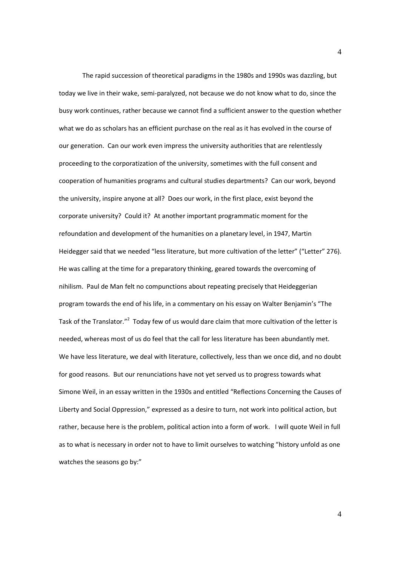The rapid succession of theoretical paradigms in the 1980s and 1990s was dazzling, but today we live in their wake, semi-paralyzed, not because we do not know what to do, since the busy work continues, rather because we cannot find a sufficient answer to the question whether what we do as scholars has an efficient purchase on the real as it has evolved in the course of our generation. Can our work even impress the university authorities that are relentlessly proceeding to the corporatization of the university, sometimes with the full consent and cooperation of humanities programs and cultural studies departments? Can our work, beyond the university, inspire anyone at all? Does our work, in the first place, exist beyond the corporate university? Could it? At another important programmatic moment for the refoundation and development of the humanities on a planetary level, in 1947, Martin Heidegger said that we needed "less literature, but more cultivation of the letter" ("Letter" 276). He was calling at the time for a preparatory thinking, geared towards the overcoming of nihilism. Paul de Man felt no compunctions about repeating precisely that Heideggerian program towards the end of his life, in a commentary on his essay on Walter Benjamin's "The Task of the Translator."<sup>2</sup> Today few of us would dare claim that more cultivation of the letter is needed, whereas most of us do feel that the call for less literature has been abundantly met. We have less literature, we deal with literature, collectively, less than we once did, and no doubt for good reasons. But our renunciations have not yet served us to progress towards what Simone Weil, in an essay written in the 1930s and entitled "Reflections Concerning the Causes of Liberty and Social Oppression," expressed as a desire to turn, not work into political action, but rather, because here is the problem, political action into a form of work. I will quote Weil in full as to what is necessary in order not to have to limit ourselves to watching "history unfold as one watches the seasons go by:"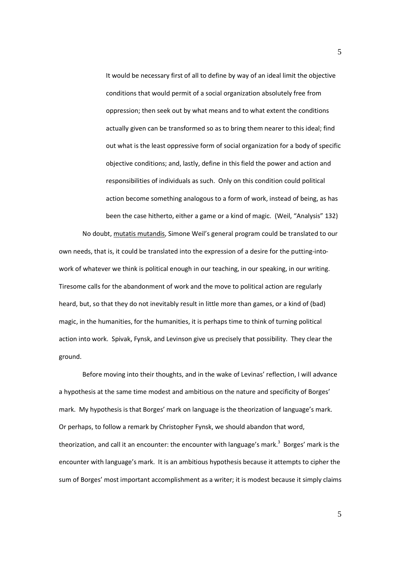It would be necessary first of all to define by way of an ideal limit the objective conditions that would permit of a social organization absolutely free from oppression; then seek out by what means and to what extent the conditions actually given can be transformed so as to bring them nearer to this ideal; find out what is the least oppressive form of social organization for a body of specific objective conditions; and, lastly, define in this field the power and action and responsibilities of individuals as such. Only on this condition could political action become something analogous to a form of work, instead of being, as has been the case hitherto, either a game or a kind of magic. (Weil, "Analysis" 132)

 No doubt, mutatis mutandis, Simone Weil's general program could be translated to our own needs, that is, it could be translated into the expression of a desire for the putting-intowork of whatever we think is political enough in our teaching, in our speaking, in our writing. Tiresome calls for the abandonment of work and the move to political action are regularly heard, but, so that they do not inevitably result in little more than games, or a kind of (bad) magic, in the humanities, for the humanities, it is perhaps time to think of turning political action into work. Spivak, Fynsk, and Levinson give us precisely that possibility. They clear the ground.

Before moving into their thoughts, and in the wake of Levinas' reflection, I will advance a hypothesis at the same time modest and ambitious on the nature and specificity of Borges' mark. My hypothesis is that Borges' mark on language is the theorization of language's mark. Or perhaps, to follow a remark by Christopher Fynsk, we should abandon that word, theorization, and call it an encounter: the encounter with language's mark.<sup>3</sup> Borges' mark is the encounter with language's mark. It is an ambitious hypothesis because it attempts to cipher the sum of Borges' most important accomplishment as a writer; it is modest because it simply claims

5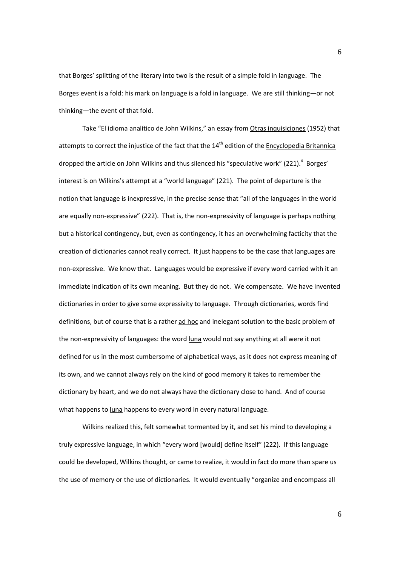that Borges' splitting of the literary into two is the result of a simple fold in language. The Borges event is a fold: his mark on language is a fold in language. We are still thinking—or not thinking—the event of that fold.

 Take "El idioma analítico de John Wilkins," an essay from Otras inquisiciones (1952) that attempts to correct the injustice of the fact that the 14<sup>th</sup> edition of the Encyclopedia Britannica dropped the article on John Wilkins and thus silenced his "speculative work" (221).<sup>4</sup> Borges' interest is on Wilkins's attempt at a "world language" (221). The point of departure is the notion that language is inexpressive, in the precise sense that "all of the languages in the world are equally non-expressive" (222). That is, the non-expressivity of language is perhaps nothing but a historical contingency, but, even as contingency, it has an overwhelming facticity that the creation of dictionaries cannot really correct. It just happens to be the case that languages are non-expressive. We know that. Languages would be expressive if every word carried with it an immediate indication of its own meaning. But they do not. We compensate. We have invented dictionaries in order to give some expressivity to language. Through dictionaries, words find definitions, but of course that is a rather ad hoc and inelegant solution to the basic problem of the non-expressivity of languages: the word luna would not say anything at all were it not defined for us in the most cumbersome of alphabetical ways, as it does not express meaning of its own, and we cannot always rely on the kind of good memory it takes to remember the dictionary by heart, and we do not always have the dictionary close to hand. And of course what happens to luna happens to every word in every natural language.

Wilkins realized this, felt somewhat tormented by it, and set his mind to developing a truly expressive language, in which "every word [would] define itself" (222). If this language could be developed, Wilkins thought, or came to realize, it would in fact do more than spare us the use of memory or the use of dictionaries. It would eventually "organize and encompass all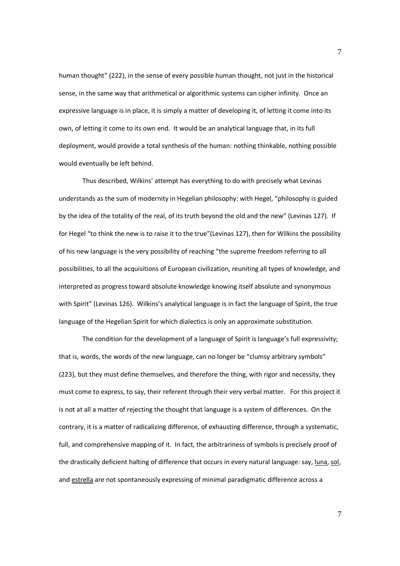human thought" (222), in the sense of every possible human thought, not just in the historical sense, in the same way that arithmetical or algorithmic systems can cipher infinity. Once an expressive language is in place, it is simply a matter of developing it, of letting it come into its own, of letting it come to its own end. It would be an analytical language that, in its full deployment, would provide a total synthesis of the human: nothing thinkable, nothing possible would eventually be left behind.

Thus described, Wilkins' attempt has everything to do with precisely what Levinas understands as the sum of modernity in Hegelian philosophy: with Hegel, "philosophy is guided by the idea of the totality of the real, of its truth beyond the old and the new" (Levinas 127). If for Hegel "to think the new is to raise it to the true"(Levinas 127), then for Wilkins the possibility of his new language is the very possibility of reaching "the supreme freedom referring to all possibilities, to all the acquisitions of European civilization, reuniting all types of knowledge, and interpreted as progress toward absolute knowledge knowing itself absolute and synonymous with Spirit" (Levinas 126). Wilkins's analytical language is in fact the language of Spirit, the true language of the Hegelian Spirit for which dialectics is only an approximate substitution.

 The condition for the development of a language of Spirit is language's full expressivity; that is, words, the words of the new language, can no longer be "clumsy arbitrary symbols" (223), but they must define themselves, and therefore the thing, with rigor and necessity, they must come to express, to say, their referent through their very verbal matter. For this project it is not at all a matter of rejecting the thought that language is a system of differences. On the contrary, it is a matter of radicalizing difference, of exhausting difference, through a systematic, full, and comprehensive mapping of it. In fact, the arbitrariness of symbols is precisely proof of the drastically deficient halting of difference that occurs in every natural language: say, luna, sol, and estrella are not spontaneously expressing of minimal paradigmatic difference across a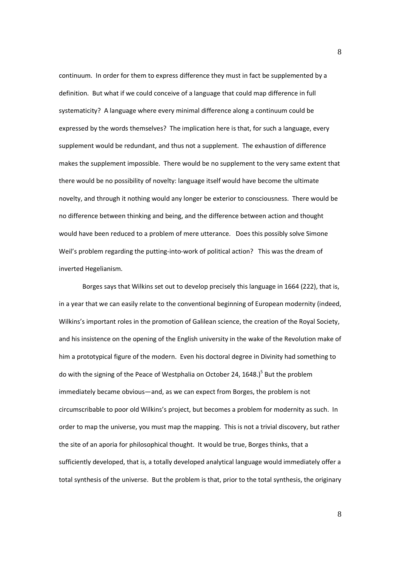continuum. In order for them to express difference they must in fact be supplemented by a definition. But what if we could conceive of a language that could map difference in full systematicity? A language where every minimal difference along a continuum could be expressed by the words themselves? The implication here is that, for such a language, every supplement would be redundant, and thus not a supplement. The exhaustion of difference makes the supplement impossible. There would be no supplement to the very same extent that there would be no possibility of novelty: language itself would have become the ultimate novelty, and through it nothing would any longer be exterior to consciousness. There would be no difference between thinking and being, and the difference between action and thought would have been reduced to a problem of mere utterance. Does this possibly solve Simone Weil's problem regarding the putting-into-work of political action? This was the dream of inverted Hegelianism.

 Borges says that Wilkins set out to develop precisely this language in 1664 (222), that is, in a year that we can easily relate to the conventional beginning of European modernity (indeed, Wilkins's important roles in the promotion of Galilean science, the creation of the Royal Society, and his insistence on the opening of the English university in the wake of the Revolution make of him a prototypical figure of the modern. Even his doctoral degree in Divinity had something to do with the signing of the Peace of Westphalia on October 24, 1648.)<sup>5</sup> But the problem immediately became obvious—and, as we can expect from Borges, the problem is not circumscribable to poor old Wilkins's project, but becomes a problem for modernity as such. In order to map the universe, you must map the mapping. This is not a trivial discovery, but rather the site of an aporia for philosophical thought. It would be true, Borges thinks, that a sufficiently developed, that is, a totally developed analytical language would immediately offer a total synthesis of the universe. But the problem is that, prior to the total synthesis, the originary

8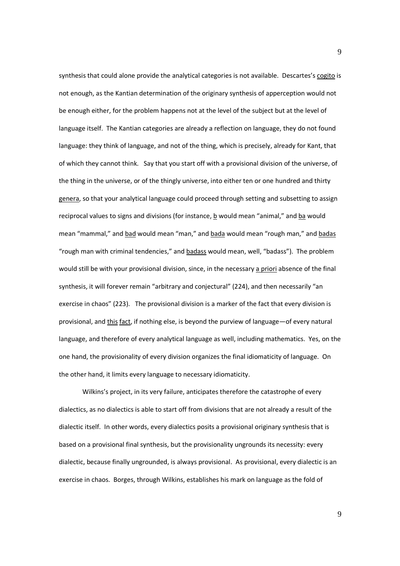synthesis that could alone provide the analytical categories is not available. Descartes's cogito is not enough, as the Kantian determination of the originary synthesis of apperception would not be enough either, for the problem happens not at the level of the subject but at the level of language itself. The Kantian categories are already a reflection on language, they do not found language: they think of language, and not of the thing, which is precisely, already for Kant, that of which they cannot think. Say that you start off with a provisional division of the universe, of the thing in the universe, or of the thingly universe, into either ten or one hundred and thirty genera, so that your analytical language could proceed through setting and subsetting to assign reciprocal values to signs and divisions (for instance,  $\underline{b}$  would mean "animal," and  $\underline{ba}$  would mean "mammal," and bad would mean "man," and bada would mean "rough man," and badas "rough man with criminal tendencies," and badass would mean, well, "badass"). The problem would still be with your provisional division, since, in the necessary a priori absence of the final synthesis, it will forever remain "arbitrary and conjectural" (224), and then necessarily "an exercise in chaos" (223). The provisional division is a marker of the fact that every division is provisional, and this fact, if nothing else, is beyond the purview of language—of every natural language, and therefore of every analytical language as well, including mathematics. Yes, on the one hand, the provisionality of every division organizes the final idiomaticity of language. On the other hand, it limits every language to necessary idiomaticity.

 Wilkins's project, in its very failure, anticipates therefore the catastrophe of every dialectics, as no dialectics is able to start off from divisions that are not already a result of the dialectic itself. In other words, every dialectics posits a provisional originary synthesis that is based on a provisional final synthesis, but the provisionality ungrounds its necessity: every dialectic, because finally ungrounded, is always provisional. As provisional, every dialectic is an exercise in chaos. Borges, through Wilkins, establishes his mark on language as the fold of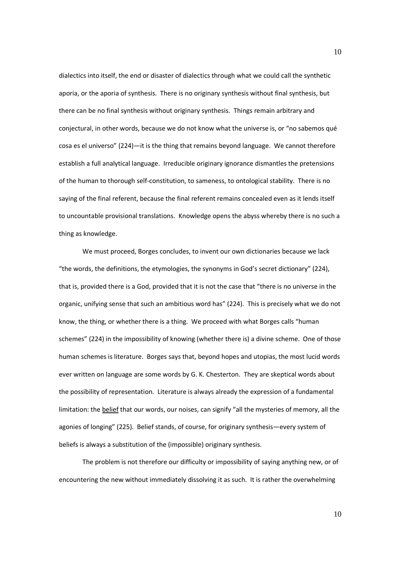dialectics into itself, the end or disaster of dialectics through what we could call the synthetic aporia, or the aporia of synthesis. There is no originary synthesis without final synthesis, but there can be no final synthesis without originary synthesis. Things remain arbitrary and conjectural, in other words, because we do not know what the universe is, or "no sabemos qué cosa es el universo" (224)—it is the thing that remains beyond language. We cannot therefore establish a full analytical language. Irreducible originary ignorance dismantles the pretensions of the human to thorough self-constitution, to sameness, to ontological stability. There is no saying of the final referent, because the final referent remains concealed even as it lends itself to uncountable provisional translations. Knowledge opens the abyss whereby there is no such a thing as knowledge.

 We must proceed, Borges concludes, to invent our own dictionaries because we lack "the words, the definitions, the etymologies, the synonyms in God's secret dictionary" (224), that is, provided there is a God, provided that it is not the case that "there is no universe in the organic, unifying sense that such an ambitious word has" (224). This is precisely what we do not know, the thing, or whether there is a thing. We proceed with what Borges calls "human schemes" (224) in the impossibility of knowing (whether there is) a divine scheme. One of those human schemes is literature. Borges says that, beyond hopes and utopias, the most lucid words ever written on language are some words by G. K. Chesterton. They are skeptical words about the possibility of representation. Literature is always already the expression of a fundamental limitation: the belief that our words, our noises, can signify "all the mysteries of memory, all the agonies of longing" (225). Belief stands, of course, for originary synthesis—every system of beliefs is always a substitution of the (impossible) originary synthesis.

 The problem is not therefore our difficulty or impossibility of saying anything new, or of encountering the new without immediately dissolving it as such. It is rather the overwhelming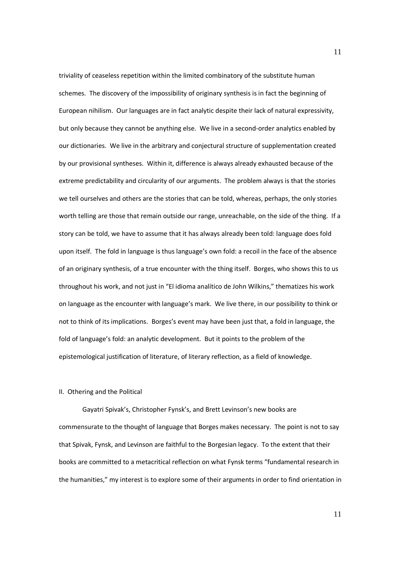triviality of ceaseless repetition within the limited combinatory of the substitute human schemes. The discovery of the impossibility of originary synthesis is in fact the beginning of European nihilism. Our languages are in fact analytic despite their lack of natural expressivity, but only because they cannot be anything else. We live in a second-order analytics enabled by our dictionaries. We live in the arbitrary and conjectural structure of supplementation created by our provisional syntheses. Within it, difference is always already exhausted because of the extreme predictability and circularity of our arguments. The problem always is that the stories we tell ourselves and others are the stories that can be told, whereas, perhaps, the only stories worth telling are those that remain outside our range, unreachable, on the side of the thing. If a story can be told, we have to assume that it has always already been told: language does fold upon itself. The fold in language is thus language's own fold: a recoil in the face of the absence of an originary synthesis, of a true encounter with the thing itself. Borges, who shows this to us throughout his work, and not just in "El idioma analítico de John Wilkins," thematizes his work on language as the encounter with language's mark. We live there, in our possibility to think or not to think of its implications. Borges's event may have been just that, a fold in language, the fold of language's fold: an analytic development. But it points to the problem of the epistemological justification of literature, of literary reflection, as a field of knowledge.

## II. Othering and the Political

 Gayatri Spivak's, Christopher Fynsk's, and Brett Levinson's new books are commensurate to the thought of language that Borges makes necessary. The point is not to say that Spivak, Fynsk, and Levinson are faithful to the Borgesian legacy. To the extent that their books are committed to a metacritical reflection on what Fynsk terms "fundamental research in the humanities," my interest is to explore some of their arguments in order to find orientation in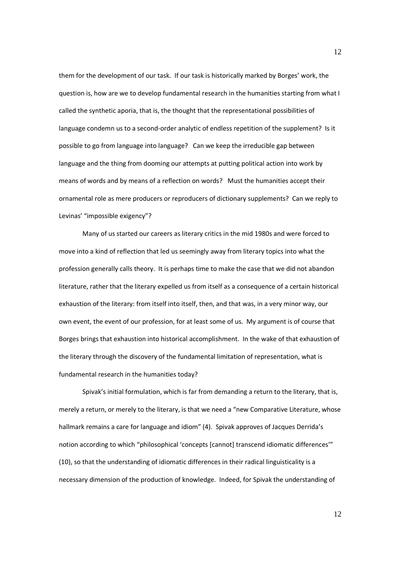them for the development of our task. If our task is historically marked by Borges' work, the question is, how are we to develop fundamental research in the humanities starting from what I called the synthetic aporia, that is, the thought that the representational possibilities of language condemn us to a second-order analytic of endless repetition of the supplement? Is it possible to go from language into language? Can we keep the irreducible gap between language and the thing from dooming our attempts at putting political action into work by means of words and by means of a reflection on words? Must the humanities accept their ornamental role as mere producers or reproducers of dictionary supplements? Can we reply to Levinas' "impossible exigency"?

Many of us started our careers as literary critics in the mid 1980s and were forced to move into a kind of reflection that led us seemingly away from literary topics into what the profession generally calls theory. It is perhaps time to make the case that we did not abandon literature, rather that the literary expelled us from itself as a consequence of a certain historical exhaustion of the literary: from itself into itself, then, and that was, in a very minor way, our own event, the event of our profession, for at least some of us. My argument is of course that Borges brings that exhaustion into historical accomplishment. In the wake of that exhaustion of the literary through the discovery of the fundamental limitation of representation, what is fundamental research in the humanities today?

 Spivak's initial formulation, which is far from demanding a return to the literary, that is, merely a return, or merely to the literary, is that we need a "new Comparative Literature, whose hallmark remains a care for language and idiom" (4). Spivak approves of Jacques Derrida's notion according to which "philosophical 'concepts [cannot] transcend idiomatic differences'" (10), so that the understanding of idiomatic differences in their radical linguisticality is a necessary dimension of the production of knowledge. Indeed, for Spivak the understanding of

12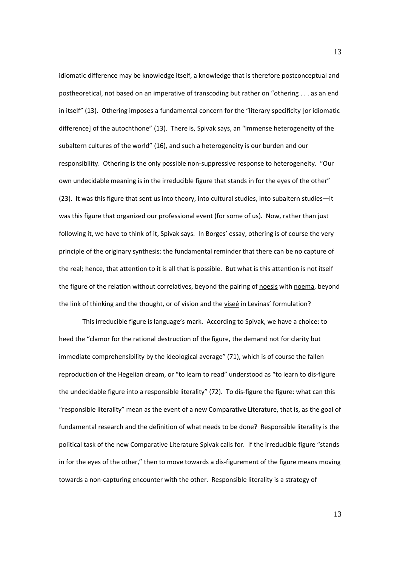idiomatic difference may be knowledge itself, a knowledge that is therefore postconceptual and postheoretical, not based on an imperative of transcoding but rather on "othering . . . as an end in itself" (13). Othering imposes a fundamental concern for the "literary specificity [or idiomatic difference] of the autochthone" (13). There is, Spivak says, an "immense heterogeneity of the subaltern cultures of the world" (16), and such a heterogeneity is our burden and our responsibility. Othering is the only possible non-suppressive response to heterogeneity. "Our own undecidable meaning is in the irreducible figure that stands in for the eyes of the other" (23). It was this figure that sent us into theory, into cultural studies, into subaltern studies—it was this figure that organized our professional event (for some of us). Now, rather than just following it, we have to think of it, Spivak says. In Borges' essay, othering is of course the very principle of the originary synthesis: the fundamental reminder that there can be no capture of the real; hence, that attention to it is all that is possible. But what is this attention is not itself the figure of the relation without correlatives, beyond the pairing of noesis with noema, beyond the link of thinking and the thought, or of vision and the viseé in Levinas' formulation?

 This irreducible figure is language's mark. According to Spivak, we have a choice: to heed the "clamor for the rational destruction of the figure, the demand not for clarity but immediate comprehensibility by the ideological average" (71), which is of course the fallen reproduction of the Hegelian dream, or "to learn to read" understood as "to learn to dis-figure the undecidable figure into a responsible literality" (72). To dis-figure the figure: what can this "responsible literality" mean as the event of a new Comparative Literature, that is, as the goal of fundamental research and the definition of what needs to be done? Responsible literality is the political task of the new Comparative Literature Spivak calls for. If the irreducible figure "stands in for the eyes of the other," then to move towards a dis-figurement of the figure means moving towards a non-capturing encounter with the other. Responsible literality is a strategy of

13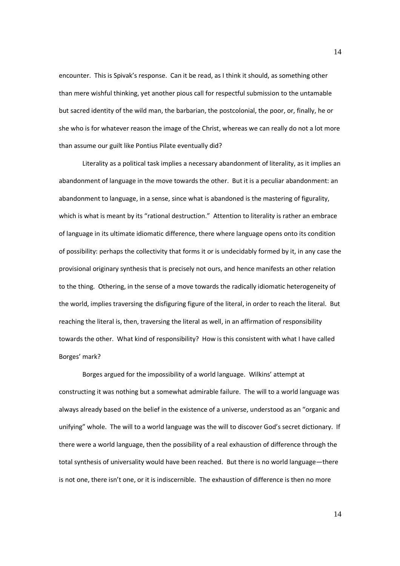encounter. This is Spivak's response. Can it be read, as I think it should, as something other than mere wishful thinking, yet another pious call for respectful submission to the untamable but sacred identity of the wild man, the barbarian, the postcolonial, the poor, or, finally, he or she who is for whatever reason the image of the Christ, whereas we can really do not a lot more than assume our guilt like Pontius Pilate eventually did?

 Literality as a political task implies a necessary abandonment of literality, as it implies an abandonment of language in the move towards the other. But it is a peculiar abandonment: an abandonment to language, in a sense, since what is abandoned is the mastering of figurality, which is what is meant by its "rational destruction." Attention to literality is rather an embrace of language in its ultimate idiomatic difference, there where language opens onto its condition of possibility: perhaps the collectivity that forms it or is undecidably formed by it, in any case the provisional originary synthesis that is precisely not ours, and hence manifests an other relation to the thing. Othering, in the sense of a move towards the radically idiomatic heterogeneity of the world, implies traversing the disfiguring figure of the literal, in order to reach the literal. But reaching the literal is, then, traversing the literal as well, in an affirmation of responsibility towards the other. What kind of responsibility? How is this consistent with what I have called Borges' mark?

 Borges argued for the impossibility of a world language. Wilkins' attempt at constructing it was nothing but a somewhat admirable failure. The will to a world language was always already based on the belief in the existence of a universe, understood as an "organic and unifying" whole. The will to a world language was the will to discover God's secret dictionary. If there were a world language, then the possibility of a real exhaustion of difference through the total synthesis of universality would have been reached. But there is no world language—there is not one, there isn't one, or it is indiscernible. The exhaustion of difference is then no more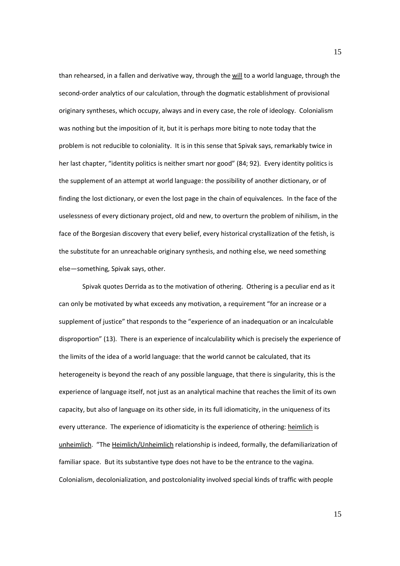than rehearsed, in a fallen and derivative way, through the will to a world language, through the second-order analytics of our calculation, through the dogmatic establishment of provisional originary syntheses, which occupy, always and in every case, the role of ideology. Colonialism was nothing but the imposition of it, but it is perhaps more biting to note today that the problem is not reducible to coloniality. It is in this sense that Spivak says, remarkably twice in her last chapter, "identity politics is neither smart nor good" (84; 92). Every identity politics is the supplement of an attempt at world language: the possibility of another dictionary, or of finding the lost dictionary, or even the lost page in the chain of equivalences. In the face of the uselessness of every dictionary project, old and new, to overturn the problem of nihilism, in the face of the Borgesian discovery that every belief, every historical crystallization of the fetish, is the substitute for an unreachable originary synthesis, and nothing else, we need something else—something, Spivak says, other.

 Spivak quotes Derrida as to the motivation of othering. Othering is a peculiar end as it can only be motivated by what exceeds any motivation, a requirement "for an increase or a supplement of justice" that responds to the "experience of an inadequation or an incalculable disproportion" (13). There is an experience of incalculability which is precisely the experience of the limits of the idea of a world language: that the world cannot be calculated, that its heterogeneity is beyond the reach of any possible language, that there is singularity, this is the experience of language itself, not just as an analytical machine that reaches the limit of its own capacity, but also of language on its other side, in its full idiomaticity, in the uniqueness of its every utterance. The experience of idiomaticity is the experience of othering: heimlich is unheimlich. "The Heimlich/Unheimlich relationship is indeed, formally, the defamiliarization of familiar space. But its substantive type does not have to be the entrance to the vagina. Colonialism, decolonialization, and postcoloniality involved special kinds of traffic with people

15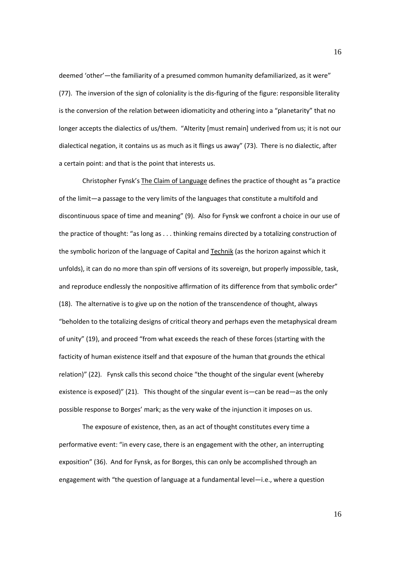deemed 'other'—the familiarity of a presumed common humanity defamiliarized, as it were" (77). The inversion of the sign of coloniality is the dis-figuring of the figure: responsible literality is the conversion of the relation between idiomaticity and othering into a "planetarity" that no longer accepts the dialectics of us/them. "Alterity [must remain] underived from us; it is not our dialectical negation, it contains us as much as it flings us away" (73). There is no dialectic, after a certain point: and that is the point that interests us.

 Christopher Fynsk's The Claim of Language defines the practice of thought as "a practice of the limit—a passage to the very limits of the languages that constitute a multifold and discontinuous space of time and meaning" (9). Also for Fynsk we confront a choice in our use of the practice of thought: "as long as . . . thinking remains directed by a totalizing construction of the symbolic horizon of the language of Capital and Technik (as the horizon against which it unfolds), it can do no more than spin off versions of its sovereign, but properly impossible, task, and reproduce endlessly the nonpositive affirmation of its difference from that symbolic order" (18). The alternative is to give up on the notion of the transcendence of thought, always "beholden to the totalizing designs of critical theory and perhaps even the metaphysical dream of unity" (19), and proceed "from what exceeds the reach of these forces (starting with the facticity of human existence itself and that exposure of the human that grounds the ethical relation)" (22). Fynsk calls this second choice "the thought of the singular event (whereby existence is exposed)" (21). This thought of the singular event is—can be read—as the only possible response to Borges' mark; as the very wake of the injunction it imposes on us.

 The exposure of existence, then, as an act of thought constitutes every time a performative event: "in every case, there is an engagement with the other, an interrupting exposition" (36). And for Fynsk, as for Borges, this can only be accomplished through an engagement with "the question of language at a fundamental level—i.e., where a question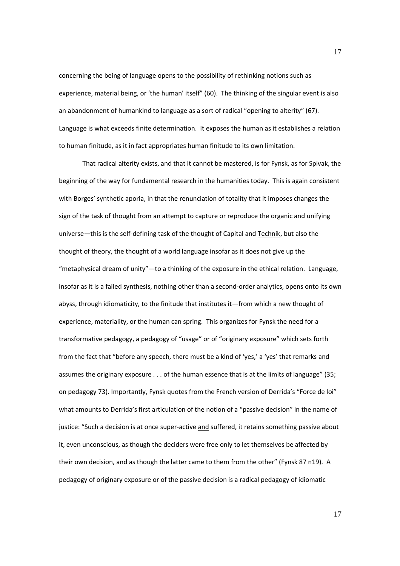concerning the being of language opens to the possibility of rethinking notions such as experience, material being, or 'the human' itself" (60). The thinking of the singular event is also an abandonment of humankind to language as a sort of radical "opening to alterity" (67). Language is what exceeds finite determination. It exposes the human as it establishes a relation to human finitude, as it in fact appropriates human finitude to its own limitation.

 That radical alterity exists, and that it cannot be mastered, is for Fynsk, as for Spivak, the beginning of the way for fundamental research in the humanities today. This is again consistent with Borges' synthetic aporia, in that the renunciation of totality that it imposes changes the sign of the task of thought from an attempt to capture or reproduce the organic and unifying universe—this is the self-defining task of the thought of Capital and Technik, but also the thought of theory, the thought of a world language insofar as it does not give up the "metaphysical dream of unity"—to a thinking of the exposure in the ethical relation. Language, insofar as it is a failed synthesis, nothing other than a second-order analytics, opens onto its own abyss, through idiomaticity, to the finitude that institutes it—from which a new thought of experience, materiality, or the human can spring. This organizes for Fynsk the need for a transformative pedagogy, a pedagogy of "usage" or of "originary exposure" which sets forth from the fact that "before any speech, there must be a kind of 'yes,' a 'yes' that remarks and assumes the originary exposure . . . of the human essence that is at the limits of language" (35; on pedagogy 73). Importantly, Fynsk quotes from the French version of Derrida's "Force de loi" what amounts to Derrida's first articulation of the notion of a "passive decision" in the name of justice: "Such a decision is at once super-active and suffered, it retains something passive about it, even unconscious, as though the deciders were free only to let themselves be affected by their own decision, and as though the latter came to them from the other" (Fynsk 87 n19). A pedagogy of originary exposure or of the passive decision is a radical pedagogy of idiomatic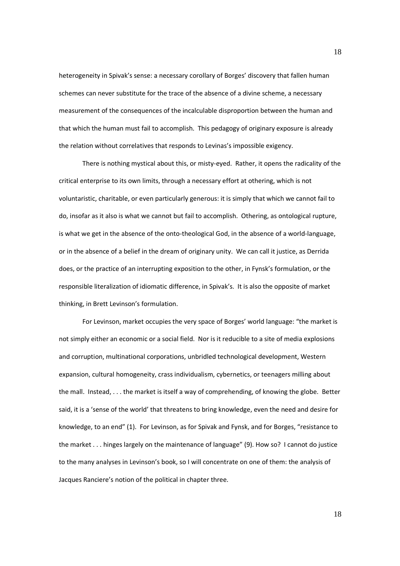heterogeneity in Spivak's sense: a necessary corollary of Borges' discovery that fallen human schemes can never substitute for the trace of the absence of a divine scheme, a necessary measurement of the consequences of the incalculable disproportion between the human and that which the human must fail to accomplish. This pedagogy of originary exposure is already the relation without correlatives that responds to Levinas's impossible exigency.

 There is nothing mystical about this, or misty-eyed. Rather, it opens the radicality of the critical enterprise to its own limits, through a necessary effort at othering, which is not voluntaristic, charitable, or even particularly generous: it is simply that which we cannot fail to do, insofar as it also is what we cannot but fail to accomplish. Othering, as ontological rupture, is what we get in the absence of the onto-theological God, in the absence of a world-language, or in the absence of a belief in the dream of originary unity. We can call it justice, as Derrida does, or the practice of an interrupting exposition to the other, in Fynsk's formulation, or the responsible literalization of idiomatic difference, in Spivak's. It is also the opposite of market thinking, in Brett Levinson's formulation.

 For Levinson, market occupies the very space of Borges' world language: "the market is not simply either an economic or a social field. Nor is it reducible to a site of media explosions and corruption, multinational corporations, unbridled technological development, Western expansion, cultural homogeneity, crass individualism, cybernetics, or teenagers milling about the mall. Instead, . . . the market is itself a way of comprehending, of knowing the globe. Better said, it is a 'sense of the world' that threatens to bring knowledge, even the need and desire for knowledge, to an end" (1). For Levinson, as for Spivak and Fynsk, and for Borges, "resistance to the market . . . hinges largely on the maintenance of language" (9). How so? I cannot do justice to the many analyses in Levinson's book, so I will concentrate on one of them: the analysis of Jacques Ranciere's notion of the political in chapter three.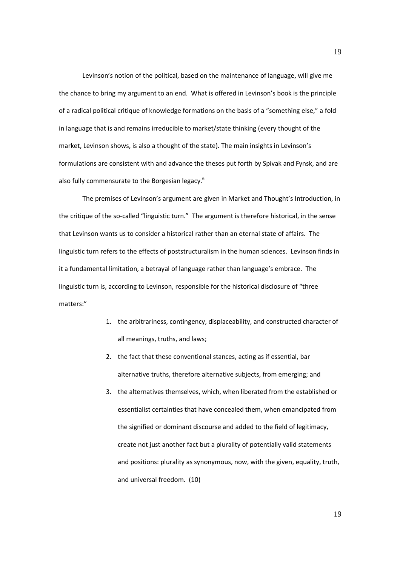Levinson's notion of the political, based on the maintenance of language, will give me the chance to bring my argument to an end. What is offered in Levinson's book is the principle of a radical political critique of knowledge formations on the basis of a "something else," a fold in language that is and remains irreducible to market/state thinking (every thought of the market, Levinson shows, is also a thought of the state). The main insights in Levinson's formulations are consistent with and advance the theses put forth by Spivak and Fynsk, and are also fully commensurate to the Borgesian legacy.<sup>6</sup>

 The premises of Levinson's argument are given in Market and Thought's Introduction, in the critique of the so-called "linguistic turn." The argument is therefore historical, in the sense that Levinson wants us to consider a historical rather than an eternal state of affairs. The linguistic turn refers to the effects of poststructuralism in the human sciences. Levinson finds in it a fundamental limitation, a betrayal of language rather than language's embrace. The linguistic turn is, according to Levinson, responsible for the historical disclosure of "three matters:"

- 1. the arbitrariness, contingency, displaceability, and constructed character of all meanings, truths, and laws;
- 2. the fact that these conventional stances, acting as if essential, bar alternative truths, therefore alternative subjects, from emerging; and
- 3. the alternatives themselves, which, when liberated from the established or essentialist certainties that have concealed them, when emancipated from the signified or dominant discourse and added to the field of legitimacy, create not just another fact but a plurality of potentially valid statements and positions: plurality as synonymous, now, with the given, equality, truth, and universal freedom. (10)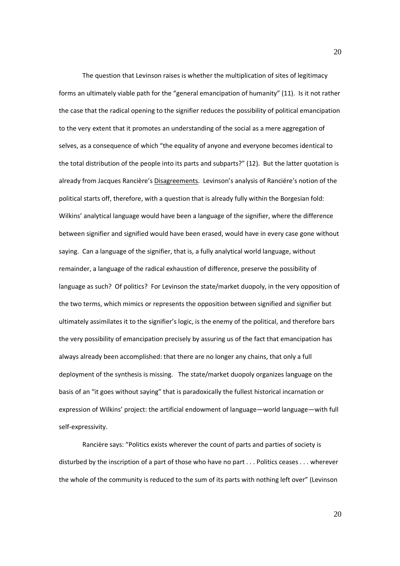The question that Levinson raises is whether the multiplication of sites of legitimacy forms an ultimately viable path for the "general emancipation of humanity" (11). Is it not rather the case that the radical opening to the signifier reduces the possibility of political emancipation to the very extent that it promotes an understanding of the social as a mere aggregation of selves, as a consequence of which "the equality of anyone and everyone becomes identical to the total distribution of the people into its parts and subparts?" (12). But the latter quotation is already from Jacques Rancière's Disagreements. Levinson's analysis of Ranciére's notion of the political starts off, therefore, with a question that is already fully within the Borgesian fold: Wilkins' analytical language would have been a language of the signifier, where the difference between signifier and signified would have been erased, would have in every case gone without saying. Can a language of the signifier, that is, a fully analytical world language, without remainder, a language of the radical exhaustion of difference, preserve the possibility of language as such? Of politics? For Levinson the state/market duopoly, in the very opposition of the two terms, which mimics or represents the opposition between signified and signifier but ultimately assimilates it to the signifier's logic, is the enemy of the political, and therefore bars the very possibility of emancipation precisely by assuring us of the fact that emancipation has always already been accomplished: that there are no longer any chains, that only a full deployment of the synthesis is missing. The state/market duopoly organizes language on the basis of an "it goes without saying" that is paradoxically the fullest historical incarnation or expression of Wilkins' project: the artificial endowment of language—world language—with full self-expressivity.

 Rancière says: "Politics exists wherever the count of parts and parties of society is disturbed by the inscription of a part of those who have no part . . . Politics ceases . . . wherever the whole of the community is reduced to the sum of its parts with nothing left over" (Levinson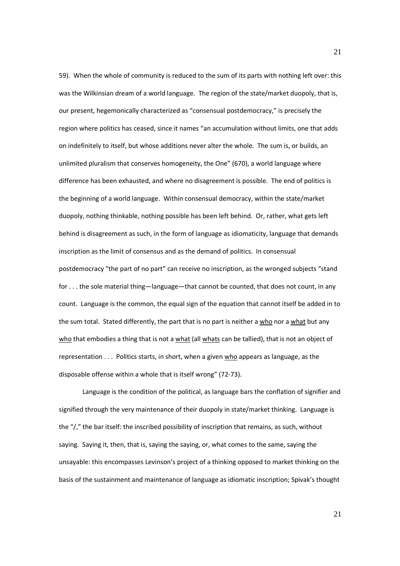59). When the whole of community is reduced to the sum of its parts with nothing left over: this was the Wilkinsian dream of a world language. The region of the state/market duopoly, that is, our present, hegemonically characterized as "consensual postdemocracy," is precisely the region where politics has ceased, since it names "an accumulation without limits, one that adds on indefinitely to itself, but whose additions never alter the whole. The sum is, or builds, an unlimited pluralism that conserves homogeneity, the One" (670), a world language where difference has been exhausted, and where no disagreement is possible. The end of politics is the beginning of a world language. Within consensual democracy, within the state/market duopoly, nothing thinkable, nothing possible has been left behind. Or, rather, what gets left behind is disagreement as such, in the form of language as idiomaticity, language that demands inscription as the limit of consensus and as the demand of politics. In consensual postdemocracy "the part of no part" can receive no inscription, as the wronged subjects "stand for . . . the sole material thing—language—that cannot be counted, that does not count, in any count. Language is the common, the equal sign of the equation that cannot itself be added in to the sum total. Stated differently, the part that is no part is neither a who nor a what but any who that embodies a thing that is not a what (all whats can be tallied), that is not an object of representation . . . Politics starts, in short, when a given who appears as language, as the disposable offense within a whole that is itself wrong" (72-73).

 Language is the condition of the political, as language bars the conflation of signifier and signified through the very maintenance of their duopoly in state/market thinking. Language is the "/," the bar itself: the inscribed possibility of inscription that remains, as such, without saying. Saying it, then, that is, saying the saying, or, what comes to the same, saying the unsayable: this encompasses Levinson's project of a thinking opposed to market thinking on the basis of the sustainment and maintenance of language as idiomatic inscription; Spivak's thought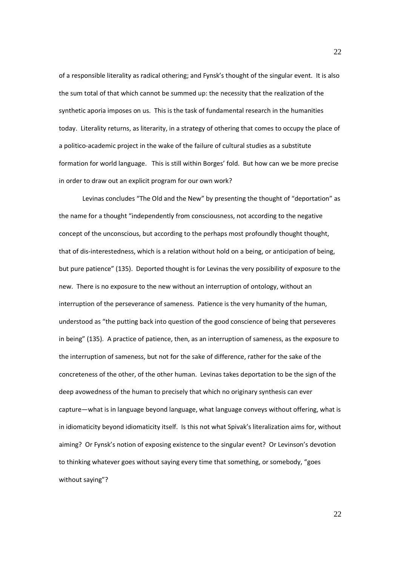of a responsible literality as radical othering; and Fynsk's thought of the singular event. It is also the sum total of that which cannot be summed up: the necessity that the realization of the synthetic aporia imposes on us. This is the task of fundamental research in the humanities today. Literality returns, as literarity, in a strategy of othering that comes to occupy the place of a politico-academic project in the wake of the failure of cultural studies as a substitute formation for world language. This is still within Borges' fold. But how can we be more precise in order to draw out an explicit program for our own work?

 Levinas concludes "The Old and the New" by presenting the thought of "deportation" as the name for a thought "independently from consciousness, not according to the negative concept of the unconscious, but according to the perhaps most profoundly thought thought, that of dis-interestedness, which is a relation without hold on a being, or anticipation of being, but pure patience" (135). Deported thought is for Levinas the very possibility of exposure to the new. There is no exposure to the new without an interruption of ontology, without an interruption of the perseverance of sameness. Patience is the very humanity of the human, understood as "the putting back into question of the good conscience of being that perseveres in being" (135). A practice of patience, then, as an interruption of sameness, as the exposure to the interruption of sameness, but not for the sake of difference, rather for the sake of the concreteness of the other, of the other human. Levinas takes deportation to be the sign of the deep avowedness of the human to precisely that which no originary synthesis can ever capture—what is in language beyond language, what language conveys without offering, what is in idiomaticity beyond idiomaticity itself. Is this not what Spivak's literalization aims for, without aiming? Or Fynsk's notion of exposing existence to the singular event? Or Levinson's devotion to thinking whatever goes without saying every time that something, or somebody, "goes without saying"?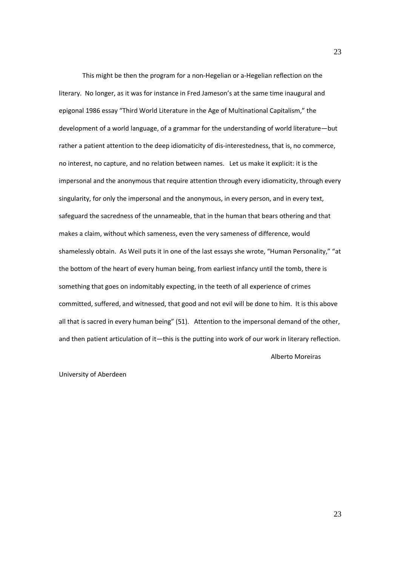This might be then the program for a non-Hegelian or a-Hegelian reflection on the literary. No longer, as it was for instance in Fred Jameson's at the same time inaugural and epigonal 1986 essay "Third World Literature in the Age of Multinational Capitalism," the development of a world language, of a grammar for the understanding of world literature—but rather a patient attention to the deep idiomaticity of dis-interestedness, that is, no commerce, no interest, no capture, and no relation between names. Let us make it explicit: it is the impersonal and the anonymous that require attention through every idiomaticity, through every singularity, for only the impersonal and the anonymous, in every person, and in every text, safeguard the sacredness of the unnameable, that in the human that bears othering and that makes a claim, without which sameness, even the very sameness of difference, would shamelessly obtain. As Weil puts it in one of the last essays she wrote, "Human Personality," "at the bottom of the heart of every human being, from earliest infancy until the tomb, there is something that goes on indomitably expecting, in the teeth of all experience of crimes committed, suffered, and witnessed, that good and not evil will be done to him. It is this above all that is sacred in every human being" (51). Attention to the impersonal demand of the other, and then patient articulation of it—this is the putting into work of our work in literary reflection.

Alberto Moreiras

University of Aberdeen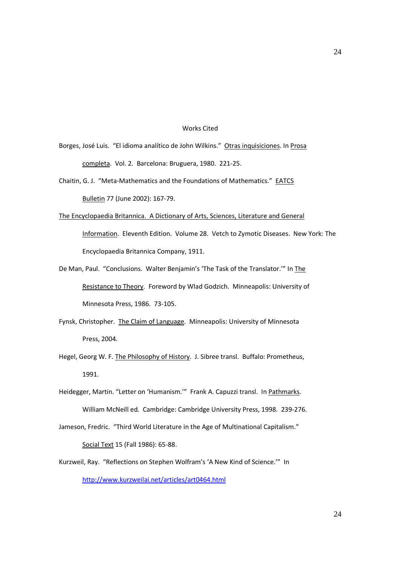## Works Cited

Borges, José Luis. "El idioma analítico de John Wilkins." Otras inquisiciones. In Prosa completa. Vol. 2. Barcelona: Bruguera, 1980. 221-25.

Chaitin, G. J. "Meta-Mathematics and the Foundations of Mathematics." EATCS Bulletin 77 (June 2002): 167-79.

The Encyclopaedia Britannica. A Dictionary of Arts, Sciences, Literature and General

Information. Eleventh Edition. Volume 28. Vetch to Zymotic Diseases. New York: The Encyclopaedia Britannica Company, 1911.

- De Man, Paul. "Conclusions. Walter Benjamin's 'The Task of the Translator.'" In The Resistance to Theory. Foreword by Wlad Godzich. Minneapolis: University of Minnesota Press, 1986. 73-105.
- Fynsk, Christopher. The Claim of Language. Minneapolis: University of Minnesota Press, 2004.
- Hegel, Georg W. F. The Philosophy of History. J. Sibree transl. Buffalo: Prometheus, 1991.

Heidegger, Martin. "Letter on 'Humanism."" Frank A. Capuzzi transl. In Pathmarks. William McNeill ed. Cambridge: Cambridge University Press, 1998. 239-276.

Jameson, Fredric. "Third World Literature in the Age of Multinational Capitalism." Social Text 15 (Fall 1986): 65-88.

Kurzweil, Ray. "Reflections on Stephen Wolfram's 'A New Kind of Science.'" In http://www.kurzweilai.net/articles/art0464.html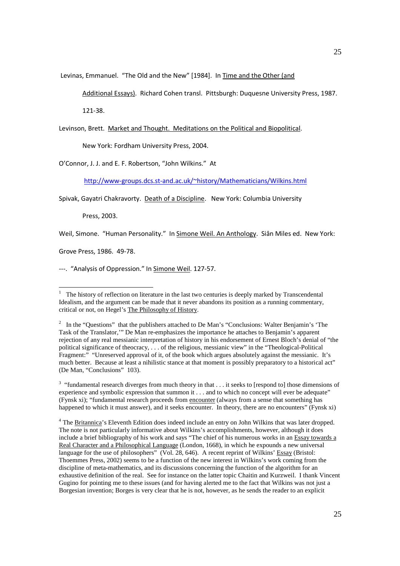Levinas, Emmanuel. "The Old and the New" [1984]. In Time and the Other (and

Additional Essays). Richard Cohen transl. Pittsburgh: Duquesne University Press, 1987.

121-38.

Levinson, Brett. Market and Thought. Meditations on the Political and Biopolitical.

New York: Fordham University Press, 2004.

O'Connor, J. J. and E. F. Robertson, "John Wilkins." At

http://www-groups.dcs.st-and.ac.uk/~history/Mathematicians/Wilkins.html

Spivak, Gayatri Chakravorty. Death of a Discipline. New York: Columbia University

Press, 2003.

Weil, Simone. "Human Personality." In Simone Weil. An Anthology. Siân Miles ed. New York:

Grove Press, 1986. 49-78.

---. "Analysis of Oppression." In Simone Weil. 127-57.

The history of reflection on literature in the last two centuries is deeply marked by Transcendental<br><sup>1</sup> The history of reflection on literature in the last two centuries is deeply marked by Transcendental Idealism, and the argument can be made that it never abandons its position as a running commentary, critical or not, on Hegel's The Philosophy of History.

<sup>&</sup>lt;sup>2</sup> In the "Questions" that the publishers attached to De Man's "Conclusions: Walter Benjamin's 'The Task of the Translator,'" De Man re-emphasizes the importance he attaches to Benjamin's apparent rejection of any real messianic interpretation of history in his endorsement of Ernest Bloch's denial of "the political significance of theocracy, . . . of the religious, messianic view" in the "Theological-Political Fragment:" "Unreserved approval of it, of the book which argues absolutely against the messianic. It's much better. Because at least a nihilistic stance at that moment is possibly preparatory to a historical act" (De Man, "Conclusions" 103).

<sup>&</sup>lt;sup>3</sup> "fundamental research diverges from much theory in that  $\dots$  it seeks to [respond to] those dimensions of experience and symbolic expression that summon it . . . and to which no concept will ever be adequate" (Fynsk xi); "fundamental research proceeds from encounter (always from a sense that something has happened to which it must answer), and it seeks encounter. In theory, there are no encounters" (Fynsk xi)

<sup>&</sup>lt;sup>4</sup> The **Britannica**'s Eleventh Edition does indeed include an entry on John Wilkins that was later dropped. The note is not particularly informative about Wilkins's accomplishments, however, although it does include a brief bibliography of his work and says "The chief of his numerous works in an Essay towards a Real Character and a Philosophical Language (London, 1668), in which he expounds a new universal language for the use of philosophers" (Vol. 28, 646). A recent reprint of Wilkins' Essay (Bristol: Thoemmes Press, 2002) seems to be a function of the new interest in Wilkins's work coming from the discipline of meta-mathematics, and its discussions concerning the function of the algorithm for an exhaustive definition of the real. See for instance on the latter topic Chaitin and Kurzweil. I thank Vincent Gugino for pointing me to these issues (and for having alerted me to the fact that Wilkins was not just a Borgesian invention; Borges is very clear that he is not, however, as he sends the reader to an explicit